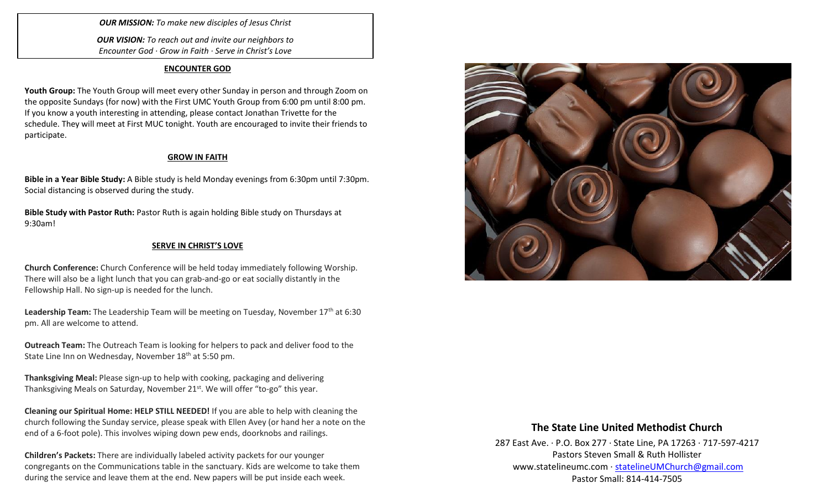*OUR MISSION: To make new disciples of Jesus Christ*

*OUR VISION: To reach out and invite our neighbors to Encounter God · Grow in Faith · Serve in Christ's Love*

#### **ENCOUNTER GOD**

**Youth Group:** The Youth Group will meet every other Sunday in person and through Zoom on the opposite Sundays (for now) with the First UMC Youth Group from 6:00 pm until 8:00 pm. If you know a youth interesting in attending, please contact Jonathan Trivette for the schedule. They will meet at First MUC tonight. Youth are encouraged to invite their friends to participate.

## **GROW IN FAITH**

**Bible in a Year Bible Study:** A Bible study is held Monday evenings from 6:30pm until 7:30pm. Social distancing is observed during the study.

**Bible Study with Pastor Ruth:** Pastor Ruth is again holding Bible study on Thursdays at 9:30am!

#### **SERVE IN CHRIST'S LOVE**

**Church Conference:** Church Conference will be held today immediately following Worship. There will also be a light lunch that you can grab-and-go or eat socially distantly in the Fellowship Hall. No sign-up is needed for the lunch.

Leadership Team: The Leadership Team will be meeting on Tuesday, November 17<sup>th</sup> at 6:30 pm. All are welcome to attend.

**Outreach Team:** The Outreach Team is looking for helpers to pack and deliver food to the State Line Inn on Wednesday, November 18<sup>th</sup> at 5:50 pm.

**Thanksgiving Meal:** Please sign-up to help with cooking, packaging and delivering Thanksgiving Meals on Saturday, November 21<sup>st</sup>. We will offer "to-go" this year.

**Cleaning our Spiritual Home: HELP STILL NEEDED!** If you are able to help with cleaning the church following the Sunday service, please speak with Ellen Avey (or hand her a note on the end of a 6-foot pole). This involves wiping down pew ends, doorknobs and railings.

**Children's Packets:** There are individually labeled activity packets for our younger congregants on the Communications table in the sanctuary. Kids are welcome to take them during the service and leave them at the end. New papers will be put inside each week.



## **The State Line United Methodist Church**

287 East Ave. · P.O. Box 277 · State Line, PA 17263 · 717-597-4217 Pastors Steven Small & Ruth Hollister [www.statelineumc.com](http://www.statelineumc.com/) · [statelineUMChurch@gmail.com](mailto:statelineUMChurch@gmail.com) Pastor Small: 814-414-7505